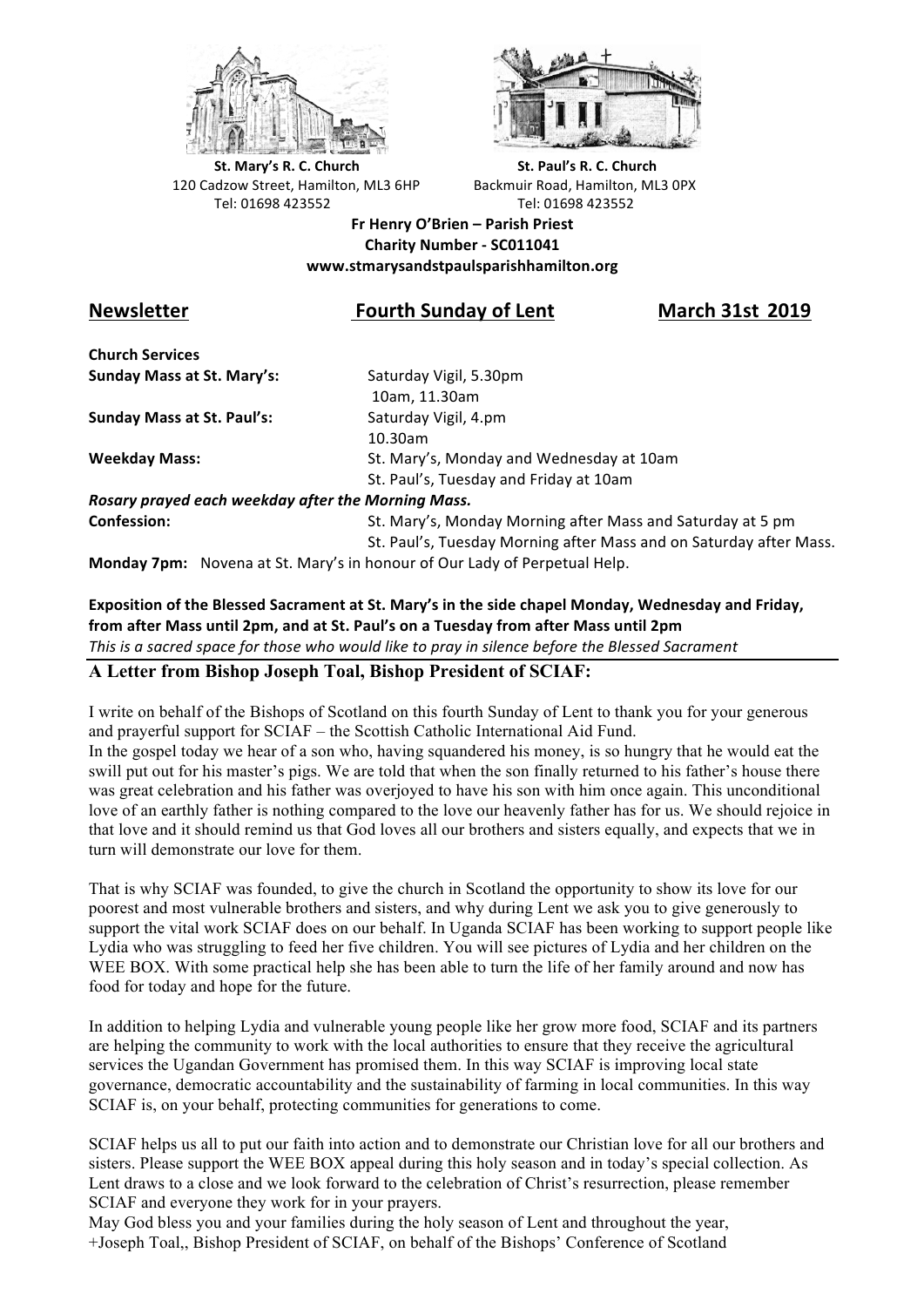



**St.** Mary's R. C. Church St. Paul's R. C. Church 120 Cadzow Street, Hamilton, ML3 6HP Backmuir Road, Hamilton, ML3 0PX Tel: 01698 423552 Tel: 01698 423552

**Fr Henry O'Brien – Parish Priest Charity Number - SC011041 www.stmarysandstpaulsparishhamilton.org**

# Newsletter *Newsletter* **Remain Sunday of Lent March 31st 2019**

**Church Services Sunday Mass at St. Mary's:** Saturday Vigil, 5.30pm

**Sunday Mass at St. Paul's:** Saturday Vigil, 4.pm

 10am, 11.30am 10.30am **Weekday Mass:** St. Mary's, Monday and Wednesday at 10am St. Paul's, Tuesday and Friday at 10am

*Rosary prayed each weekday after the Morning Mass.* **Confession:** St. Mary's, Monday Morning after Mass and Saturday at 5 pm

St. Paul's, Tuesday Morning after Mass and on Saturday after Mass.

**Monday 7pm:** Novena at St. Mary's in honour of Our Lady of Perpetual Help.

#### Exposition of the Blessed Sacrament at St. Mary's in the side chapel Monday, Wednesday and Friday, from after Mass until 2pm, and at St. Paul's on a Tuesday from after Mass until 2pm This is a sacred space for those who would like to pray in silence before the Blessed Sacrament

## **A Letter from Bishop Joseph Toal, Bishop President of SCIAF:**

I write on behalf of the Bishops of Scotland on this fourth Sunday of Lent to thank you for your generous and prayerful support for SCIAF – the Scottish Catholic International Aid Fund. In the gospel today we hear of a son who, having squandered his money, is so hungry that he would eat the swill put out for his master's pigs. We are told that when the son finally returned to his father's house there was great celebration and his father was overjoyed to have his son with him once again. This unconditional love of an earthly father is nothing compared to the love our heavenly father has for us. We should rejoice in that love and it should remind us that God loves all our brothers and sisters equally, and expects that we in turn will demonstrate our love for them.

That is why SCIAF was founded, to give the church in Scotland the opportunity to show its love for our poorest and most vulnerable brothers and sisters, and why during Lent we ask you to give generously to support the vital work SCIAF does on our behalf. In Uganda SCIAF has been working to support people like Lydia who was struggling to feed her five children. You will see pictures of Lydia and her children on the WEE BOX. With some practical help she has been able to turn the life of her family around and now has food for today and hope for the future.

In addition to helping Lydia and vulnerable young people like her grow more food, SCIAF and its partners are helping the community to work with the local authorities to ensure that they receive the agricultural services the Ugandan Government has promised them. In this way SCIAF is improving local state governance, democratic accountability and the sustainability of farming in local communities. In this way SCIAF is, on your behalf, protecting communities for generations to come.

SCIAF helps us all to put our faith into action and to demonstrate our Christian love for all our brothers and sisters. Please support the WEE BOX appeal during this holy season and in today's special collection. As Lent draws to a close and we look forward to the celebration of Christ's resurrection, please remember SCIAF and everyone they work for in your prayers.

May God bless you and your families during the holy season of Lent and throughout the year, +Joseph Toal,, Bishop President of SCIAF, on behalf of the Bishops' Conference of Scotland